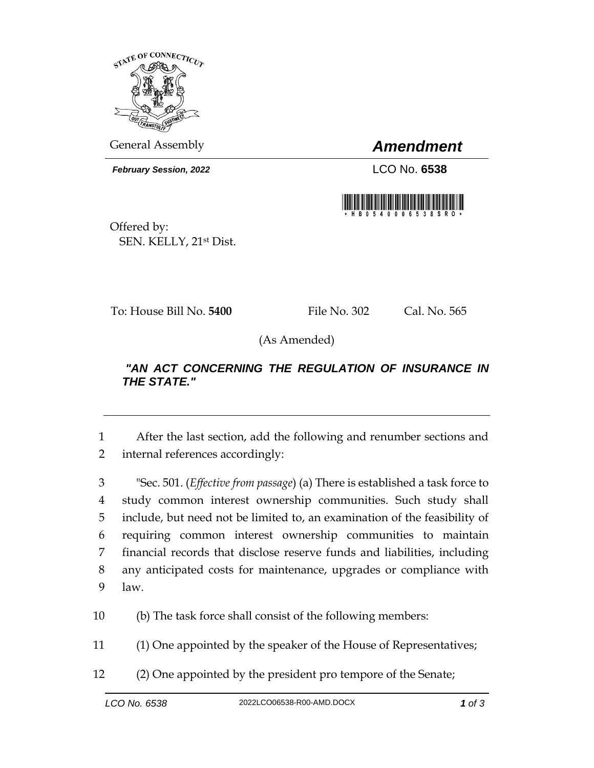

General Assembly *Amendment*

*February Session, 2022* LCO No. **6538**



Offered by: SEN. KELLY, 21st Dist.

To: House Bill No. **5400** File No. 302 Cal. No. 565

(As Amended)

## *"AN ACT CONCERNING THE REGULATION OF INSURANCE IN THE STATE."*

1 After the last section, add the following and renumber sections and 2 internal references accordingly:

 "Sec. 501. (*Effective from passage*) (a) There is established a task force to study common interest ownership communities. Such study shall include, but need not be limited to, an examination of the feasibility of requiring common interest ownership communities to maintain financial records that disclose reserve funds and liabilities, including any anticipated costs for maintenance, upgrades or compliance with 9 law.

10 (b) The task force shall consist of the following members:

11 (1) One appointed by the speaker of the House of Representatives;

12 (2) One appointed by the president pro tempore of the Senate;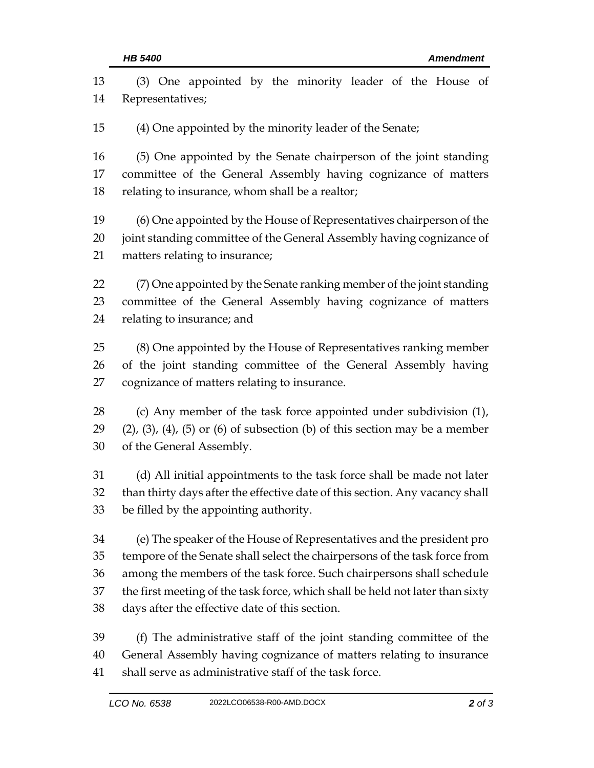| 13 | (3) One appointed by the minority leader of the House of                                   |  |  |
|----|--------------------------------------------------------------------------------------------|--|--|
| 14 | Representatives;                                                                           |  |  |
| 15 | (4) One appointed by the minority leader of the Senate;                                    |  |  |
| 16 | (5) One appointed by the Senate chairperson of the joint standing                          |  |  |
| 17 | committee of the General Assembly having cognizance of matters                             |  |  |
| 18 | relating to insurance, whom shall be a realtor;                                            |  |  |
| 19 | (6) One appointed by the House of Representatives chairperson of the                       |  |  |
| 20 | joint standing committee of the General Assembly having cognizance of                      |  |  |
| 21 | matters relating to insurance;                                                             |  |  |
| 22 | (7) One appointed by the Senate ranking member of the joint standing                       |  |  |
| 23 | committee of the General Assembly having cognizance of matters                             |  |  |
| 24 | relating to insurance; and                                                                 |  |  |
| 25 | (8) One appointed by the House of Representatives ranking member                           |  |  |
| 26 | of the joint standing committee of the General Assembly having                             |  |  |
| 27 | cognizance of matters relating to insurance.                                               |  |  |
| 28 | (c) Any member of the task force appointed under subdivision (1),                          |  |  |
| 29 | $(2)$ , $(3)$ , $(4)$ , $(5)$ or $(6)$ of subsection $(b)$ of this section may be a member |  |  |
| 30 | of the General Assembly.                                                                   |  |  |
| 31 | (d) All initial appointments to the task force shall be made not later                     |  |  |
| 32 | than thirty days after the effective date of this section. Any vacancy shall               |  |  |
| 33 | be filled by the appointing authority.                                                     |  |  |
| 34 | (e) The speaker of the House of Representatives and the president pro                      |  |  |
| 35 | tempore of the Senate shall select the chairpersons of the task force from                 |  |  |
| 36 | among the members of the task force. Such chairpersons shall schedule                      |  |  |
| 37 | the first meeting of the task force, which shall be held not later than sixty              |  |  |
| 38 | days after the effective date of this section.                                             |  |  |
| 39 | (f) The administrative staff of the joint standing committee of the                        |  |  |
| 40 | General Assembly having cognizance of matters relating to insurance                        |  |  |
| 41 | shall serve as administrative staff of the task force.                                     |  |  |